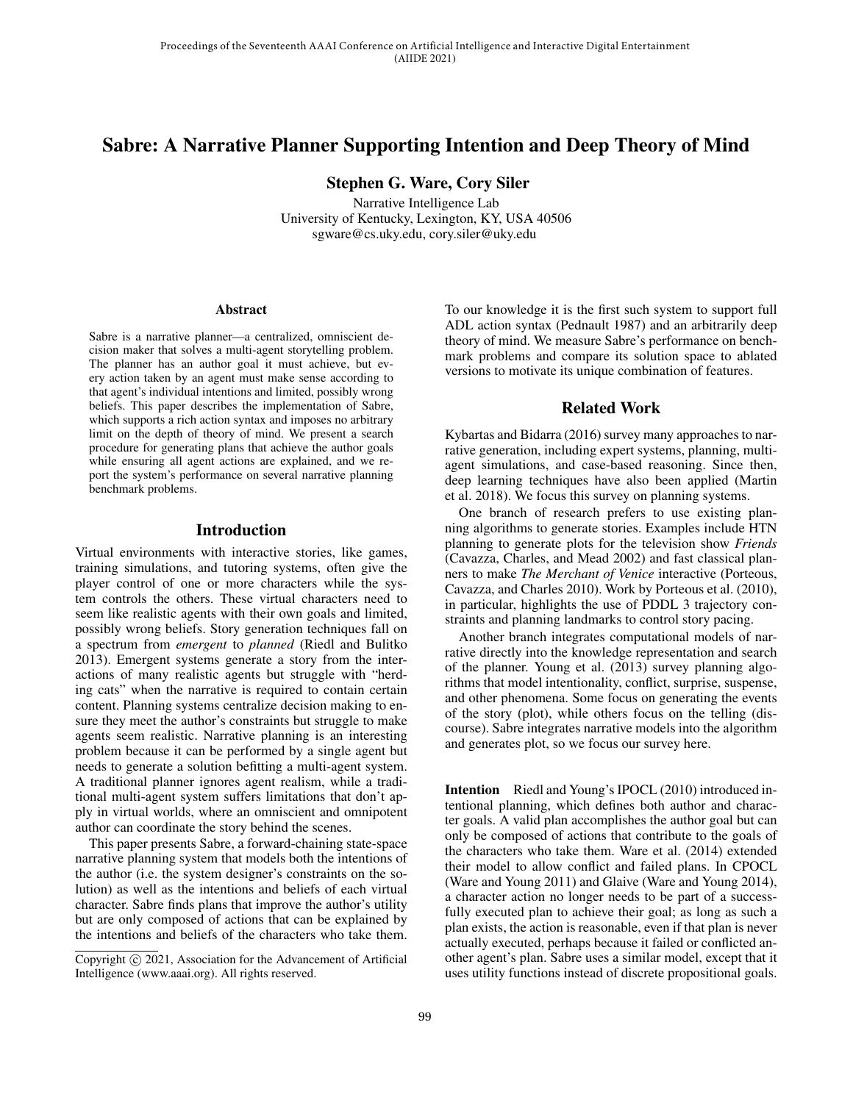# Sabre: A Narrative Planner Supporting Intention and Deep Theory of Mind

Stephen G. Ware, Cory Siler

Narrative Intelligence Lab University of Kentucky, Lexington, KY, USA 40506 sgware@cs.uky.edu, cory.siler@uky.edu

#### **Abstract**

Sabre is a narrative planner—a centralized, omniscient decision maker that solves a multi-agent storytelling problem. The planner has an author goal it must achieve, but every action taken by an agent must make sense according to that agent's individual intentions and limited, possibly wrong beliefs. This paper describes the implementation of Sabre, which supports a rich action syntax and imposes no arbitrary limit on the depth of theory of mind. We present a search procedure for generating plans that achieve the author goals while ensuring all agent actions are explained, and we report the system's performance on several narrative planning benchmark problems.

### Introduction

Virtual environments with interactive stories, like games, training simulations, and tutoring systems, often give the player control of one or more characters while the system controls the others. These virtual characters need to seem like realistic agents with their own goals and limited, possibly wrong beliefs. Story generation techniques fall on a spectrum from *emergent* to *planned* (Riedl and Bulitko 2013). Emergent systems generate a story from the interactions of many realistic agents but struggle with "herding cats" when the narrative is required to contain certain content. Planning systems centralize decision making to ensure they meet the author's constraints but struggle to make agents seem realistic. Narrative planning is an interesting problem because it can be performed by a single agent but needs to generate a solution befitting a multi-agent system. A traditional planner ignores agent realism, while a traditional multi-agent system suffers limitations that don't apply in virtual worlds, where an omniscient and omnipotent author can coordinate the story behind the scenes.

This paper presents Sabre, a forward-chaining state-space narrative planning system that models both the intentions of the author (i.e. the system designer's constraints on the solution) as well as the intentions and beliefs of each virtual character. Sabre finds plans that improve the author's utility but are only composed of actions that can be explained by the intentions and beliefs of the characters who take them.

To our knowledge it is the first such system to support full ADL action syntax (Pednault 1987) and an arbitrarily deep theory of mind. We measure Sabre's performance on benchmark problems and compare its solution space to ablated versions to motivate its unique combination of features.

## Related Work

Kybartas and Bidarra (2016) survey many approaches to narrative generation, including expert systems, planning, multiagent simulations, and case-based reasoning. Since then, deep learning techniques have also been applied (Martin et al. 2018). We focus this survey on planning systems.

One branch of research prefers to use existing planning algorithms to generate stories. Examples include HTN planning to generate plots for the television show *Friends* (Cavazza, Charles, and Mead 2002) and fast classical planners to make *The Merchant of Venice* interactive (Porteous, Cavazza, and Charles 2010). Work by Porteous et al. (2010), in particular, highlights the use of PDDL 3 trajectory constraints and planning landmarks to control story pacing.

Another branch integrates computational models of narrative directly into the knowledge representation and search of the planner. Young et al. (2013) survey planning algorithms that model intentionality, conflict, surprise, suspense, and other phenomena. Some focus on generating the events of the story (plot), while others focus on the telling (discourse). Sabre integrates narrative models into the algorithm and generates plot, so we focus our survey here.

Intention Riedl and Young's IPOCL (2010) introduced intentional planning, which defines both author and character goals. A valid plan accomplishes the author goal but can only be composed of actions that contribute to the goals of the characters who take them. Ware et al. (2014) extended their model to allow conflict and failed plans. In CPOCL (Ware and Young 2011) and Glaive (Ware and Young 2014), a character action no longer needs to be part of a successfully executed plan to achieve their goal; as long as such a plan exists, the action is reasonable, even if that plan is never actually executed, perhaps because it failed or conflicted another agent's plan. Sabre uses a similar model, except that it uses utility functions instead of discrete propositional goals.

Copyright © 2021, Association for the Advancement of Artificial Intelligence (www.aaai.org). All rights reserved.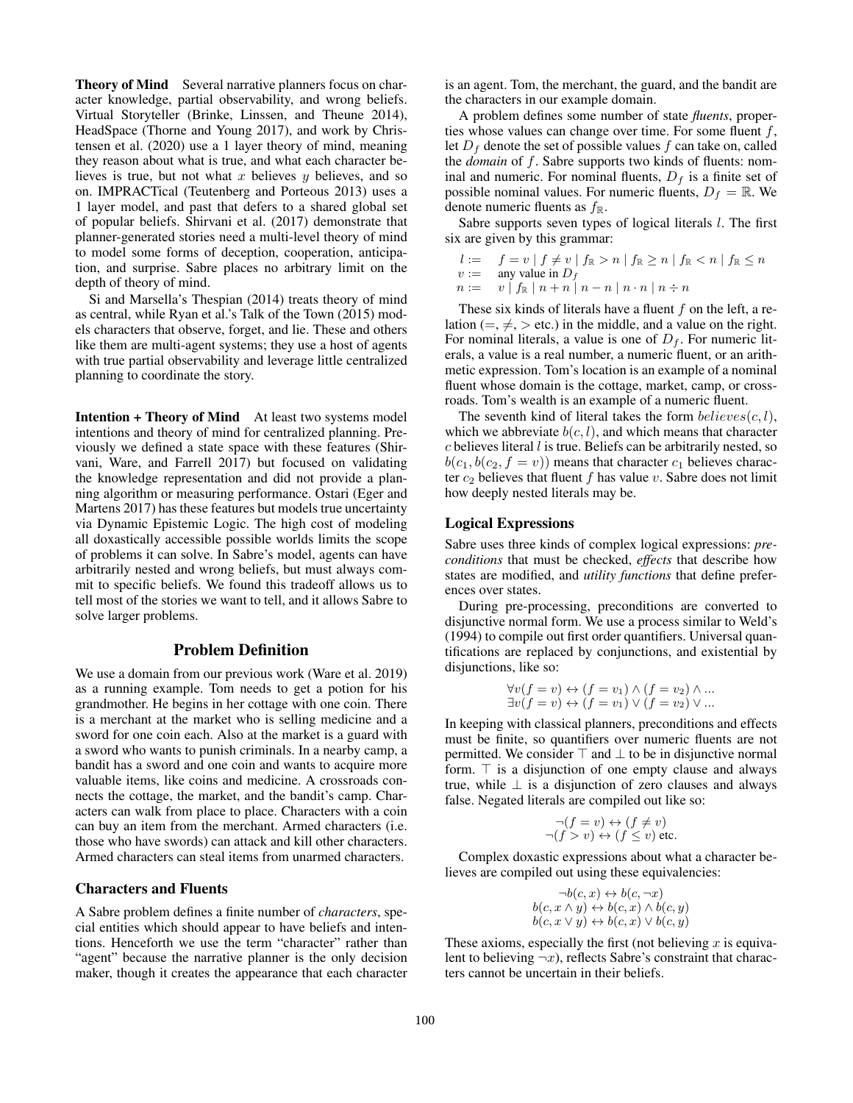Theory of Mind Several narrative planners focus on character knowledge, partial observability, and wrong beliefs. Virtual Storyteller (Brinke, Linssen, and Theune 2014), HeadSpace (Thorne and Young 2017), and work by Christensen et al. (2020) use a 1 layer theory of mind, meaning they reason about what is true, and what each character believes is true, but not what x believes  $y$  believes, and so on. IMPRACTical (Teutenberg and Porteous 2013) uses a 1 layer model, and past that defers to a shared global set of popular beliefs. Shirvani et al. (2017) demonstrate that planner-generated stories need a multi-level theory of mind to model some forms of deception, cooperation, anticipation, and surprise. Sabre places no arbitrary limit on the depth of theory of mind.

Si and Marsella's Thespian (2014) treats theory of mind as central, while Ryan et al.'s Talk of the Town (2015) models characters that observe, forget, and lie. These and others like them are multi-agent systems; they use a host of agents with true partial observability and leverage little centralized planning to coordinate the story.

Intention + Theory of Mind At least two systems model intentions and theory of mind for centralized planning. Previously we defined a state space with these features (Shirvani, Ware, and Farrell 2017) but focused on validating the knowledge representation and did not provide a planning algorithm or measuring performance. Ostari (Eger and Martens 2017) has these features but models true uncertainty via Dynamic Epistemic Logic. The high cost of modeling all doxastically accessible possible worlds limits the scope of problems it can solve. In Sabre's model, agents can have arbitrarily nested and wrong beliefs, but must always commit to specific beliefs. We found this tradeoff allows us to tell most of the stories we want to tell, and it allows Sabre to solve larger problems.

## Problem Definition

We use a domain from our previous work (Ware et al. 2019) as a running example. Tom needs to get a potion for his grandmother. He begins in her cottage with one coin. There is a merchant at the market who is selling medicine and a sword for one coin each. Also at the market is a guard with a sword who wants to punish criminals. In a nearby camp, a bandit has a sword and one coin and wants to acquire more valuable items, like coins and medicine. A crossroads connects the cottage, the market, and the bandit's camp. Characters can walk from place to place. Characters with a coin can buy an item from the merchant. Armed characters (i.e. those who have swords) can attack and kill other characters. Armed characters can steal items from unarmed characters.

### Characters and Fluents

A Sabre problem defines a finite number of *characters*, special entities which should appear to have beliefs and intentions. Henceforth we use the term "character" rather than "agent" because the narrative planner is the only decision maker, though it creates the appearance that each character

is an agent. Tom, the merchant, the guard, and the bandit are the characters in our example domain.

A problem defines some number of state *fluents*, properties whose values can change over time. For some fluent  $f$ , let  $D_f$  denote the set of possible values f can take on, called the *domain* of f. Sabre supports two kinds of fluents: nominal and numeric. For nominal fluents,  $D_f$  is a finite set of possible nominal values. For numeric fluents,  $D_f = \mathbb{R}$ . We denote numeric fluents as  $f_{\mathbb{R}}$ .

Sabre supports seven types of logical literals *l*. The first six are given by this grammar:

$$
l := \n f = v \mid f \neq v \mid f_{\mathbb{R}} > n \mid f_{\mathbb{R}} \geq n \mid f_{\mathbb{R}} < n \mid f_{\mathbb{R}} \leq n
$$
\n
$$
v := \n \text{any value in } D_f
$$
\n
$$
n := \n v \mid f_{\mathbb{R}} \mid n + n \mid n - n \mid n \cdot n \mid n \div n
$$

These six kinds of literals have a fluent  $f$  on the left, a relation (=,  $\neq$ , > etc.) in the middle, and a value on the right. For nominal literals, a value is one of  $D_f$ . For numeric literals, a value is a real number, a numeric fluent, or an arithmetic expression. Tom's location is an example of a nominal fluent whose domain is the cottage, market, camp, or crossroads. Tom's wealth is an example of a numeric fluent.

The seventh kind of literal takes the form  $believes(c, l)$ , which we abbreviate  $b(c, l)$ , and which means that character  $c$  believes literal  $l$  is true. Beliefs can be arbitrarily nested, so  $b(c_1, b(c_2, f = v))$  means that character  $c_1$  believes character  $c_2$  believes that fluent f has value v. Sabre does not limit how deeply nested literals may be.

#### Logical Expressions

Sabre uses three kinds of complex logical expressions: *preconditions* that must be checked, *effects* that describe how states are modified, and *utility functions* that define preferences over states.

During pre-processing, preconditions are converted to disjunctive normal form. We use a process similar to Weld's (1994) to compile out first order quantifiers. Universal quantifications are replaced by conjunctions, and existential by disjunctions, like so:

$$
\forall v(f = v) \leftrightarrow (f = v_1) \land (f = v_2) \land ...
$$
  

$$
\exists v(f = v) \leftrightarrow (f = v_1) \lor (f = v_2) \lor ...
$$

In keeping with classical planners, preconditions and effects must be finite, so quantifiers over numeric fluents are not permitted. We consider  $\top$  and  $\bot$  to be in disjunctive normal form.  $\top$  is a disjunction of one empty clause and always true, while  $\perp$  is a disjunction of zero clauses and always false. Negated literals are compiled out like so:

$$
\neg (f = v) \leftrightarrow (f \neq v)
$$
  

$$
\neg (f > v) \leftrightarrow (f \leq v) \text{ etc.}
$$

Complex doxastic expressions about what a character believes are compiled out using these equivalencies:

$$
\neg b(c, x) \leftrightarrow b(c, \neg x)
$$
  

$$
b(c, x \land y) \leftrightarrow b(c, x) \land b(c, y)
$$
  

$$
b(c, x \lor y) \leftrightarrow b(c, x) \lor b(c, y)
$$

These axioms, especially the first (not believing  $x$  is equivalent to believing  $\neg x$ ), reflects Sabre's constraint that characters cannot be uncertain in their beliefs.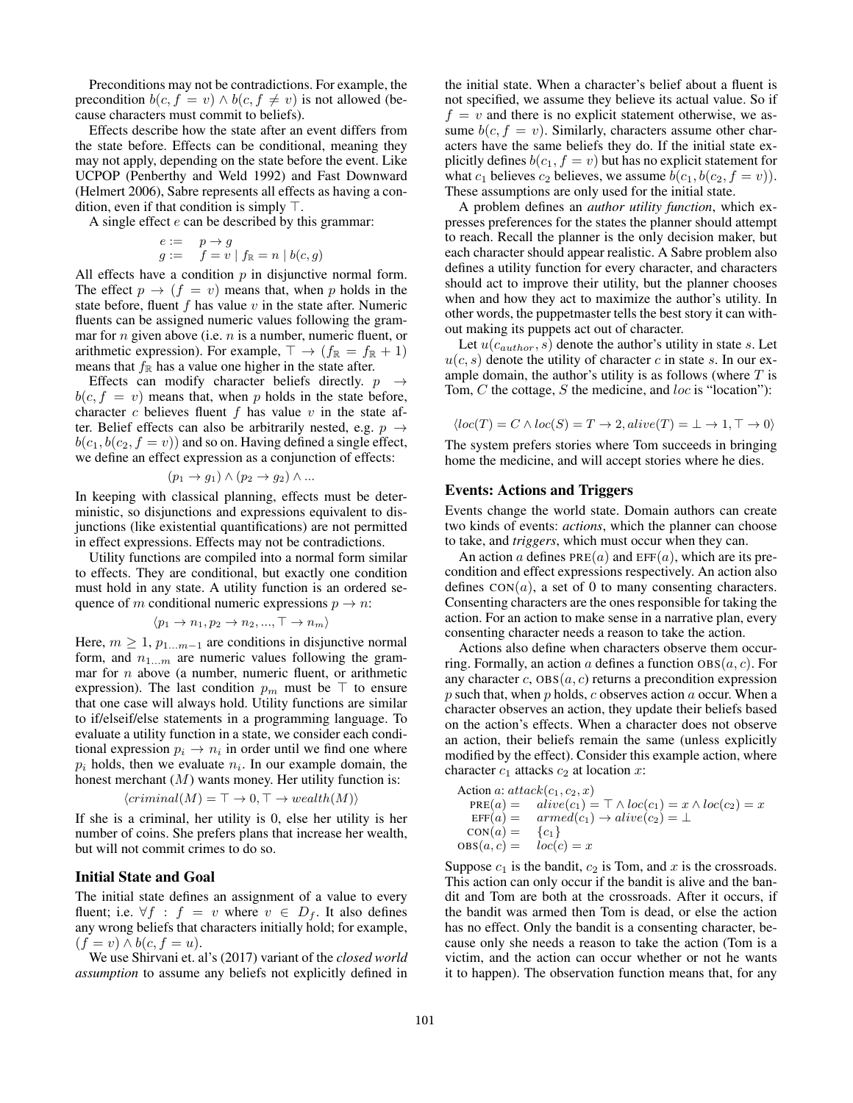Preconditions may not be contradictions. For example, the precondition  $b(c, f = v) \wedge b(c, f \neq v)$  is not allowed (because characters must commit to beliefs).

Effects describe how the state after an event differs from the state before. Effects can be conditional, meaning they may not apply, depending on the state before the event. Like UCPOP (Penberthy and Weld 1992) and Fast Downward (Helmert 2006), Sabre represents all effects as having a condition, even if that condition is simply  $\top$ .

A single effect  $e$  can be described by this grammar:

$$
\begin{array}{ll} e := & p \rightarrow g \\ g := & f = v \mid f_\mathbb{R} = n \mid b(c,g) \end{array}
$$

All effects have a condition  $p$  in disjunctive normal form. The effect  $p \rightarrow (f = v)$  means that, when p holds in the state before, fluent  $f$  has value  $v$  in the state after. Numeric fluents can be assigned numeric values following the grammar for  $n$  given above (i.e.  $n$  is a number, numeric fluent, or arithmetic expression). For example,  $\top \rightarrow (f_{\mathbb{R}} = f_{\mathbb{R}} + 1)$ means that  $f_{\mathbb{R}}$  has a value one higher in the state after.

Effects can modify character beliefs directly.  $p \rightarrow$  $b(c, f = v)$  means that, when p holds in the state before, character c believes fluent f has value  $v$  in the state after. Belief effects can also be arbitrarily nested, e.g.  $p \rightarrow$  $b(c_1, b(c_2, f = v))$  and so on. Having defined a single effect, we define an effect expression as a conjunction of effects:

$$
(p_1 \to g_1) \land (p_2 \to g_2) \land \dots
$$

In keeping with classical planning, effects must be deterministic, so disjunctions and expressions equivalent to disjunctions (like existential quantifications) are not permitted in effect expressions. Effects may not be contradictions.

Utility functions are compiled into a normal form similar to effects. They are conditional, but exactly one condition must hold in any state. A utility function is an ordered sequence of m conditional numeric expressions  $p \to n$ :

$$
\langle p_1 \to n_1, p_2 \to n_2, ..., \top \to n_m \rangle
$$

Here,  $m \geq 1$ ,  $p_{1...m-1}$  are conditions in disjunctive normal form, and  $n_{1...m}$  are numeric values following the grammar for  $n$  above (a number, numeric fluent, or arithmetic expression). The last condition  $p_m$  must be  $\top$  to ensure that one case will always hold. Utility functions are similar to if/elseif/else statements in a programming language. To evaluate a utility function in a state, we consider each conditional expression  $p_i \to n_i$  in order until we find one where  $p_i$  holds, then we evaluate  $n_i$ . In our example domain, the honest merchant  $(M)$  wants money. Her utility function is:

$$
\langle criminal(M) = \top \rightarrow 0, \top \rightarrow wealth(M) \rangle
$$

If she is a criminal, her utility is 0, else her utility is her number of coins. She prefers plans that increase her wealth, but will not commit crimes to do so.

### Initial State and Goal

The initial state defines an assignment of a value to every fluent; i.e.  $\forall f : f = v$  where  $v \in D_f$ . It also defines any wrong beliefs that characters initially hold; for example,  $(f = v) \wedge b(c, f = u).$ 

We use Shirvani et. al's (2017) variant of the *closed world assumption* to assume any beliefs not explicitly defined in

the initial state. When a character's belief about a fluent is not specified, we assume they believe its actual value. So if  $f = v$  and there is no explicit statement otherwise, we assume  $b(c, f = v)$ . Similarly, characters assume other characters have the same beliefs they do. If the initial state explicitly defines  $b(c_1, f = v)$  but has no explicit statement for what  $c_1$  believes  $c_2$  believes, we assume  $b(c_1, b(c_2, f = v))$ . These assumptions are only used for the initial state.

A problem defines an *author utility function*, which expresses preferences for the states the planner should attempt to reach. Recall the planner is the only decision maker, but each character should appear realistic. A Sabre problem also defines a utility function for every character, and characters should act to improve their utility, but the planner chooses when and how they act to maximize the author's utility. In other words, the puppetmaster tells the best story it can without making its puppets act out of character.

Let  $u(c_{author}, s)$  denote the author's utility in state s. Let  $u(c, s)$  denote the utility of character c in state s. In our example domain, the author's utility is as follows (where  $T$  is Tom, C the cottage, S the medicine, and loc is "location"):

$$
\langle loc(T) = C \land loc(S) = T \rightarrow 2, alive(T) = \bot \rightarrow 1, \top \rightarrow 0 \rangle
$$

The system prefers stories where Tom succeeds in bringing home the medicine, and will accept stories where he dies.

### Events: Actions and Triggers

Events change the world state. Domain authors can create two kinds of events: *actions*, which the planner can choose to take, and *triggers*, which must occur when they can.

An action a defines  $PRE(a)$  and  $EFF(a)$ , which are its precondition and effect expressions respectively. An action also defines  $CON(a)$ , a set of 0 to many consenting characters. Consenting characters are the ones responsible for taking the action. For an action to make sense in a narrative plan, every consenting character needs a reason to take the action.

Actions also define when characters observe them occurring. Formally, an action a defines a function  $\text{OBS}(a, c)$ . For any character c,  $\text{OBS}(a, c)$  returns a precondition expression p such that, when p holds, c observes action a occur. When a character observes an action, they update their beliefs based on the action's effects. When a character does not observe an action, their beliefs remain the same (unless explicitly modified by the effect). Consider this example action, where character  $c_1$  attacks  $c_2$  at location x:

Action a: 
$$
attack(c_1, c_2, x)
$$
  
\nPRE(a) =  $alive(c_1) = \top \land loc(c_1) = x \land loc(c_2) = x$   
\nEFF(a) =  $armed(c_1) \rightarrow alive(c_2) = \bot$   
\nCON(a) = {c<sub>1</sub>}  
\nOBS(a, c) =  $loc(c) = x$ 

Suppose  $c_1$  is the bandit,  $c_2$  is Tom, and x is the crossroads. This action can only occur if the bandit is alive and the bandit and Tom are both at the crossroads. After it occurs, if the bandit was armed then Tom is dead, or else the action has no effect. Only the bandit is a consenting character, because only she needs a reason to take the action (Tom is a victim, and the action can occur whether or not he wants it to happen). The observation function means that, for any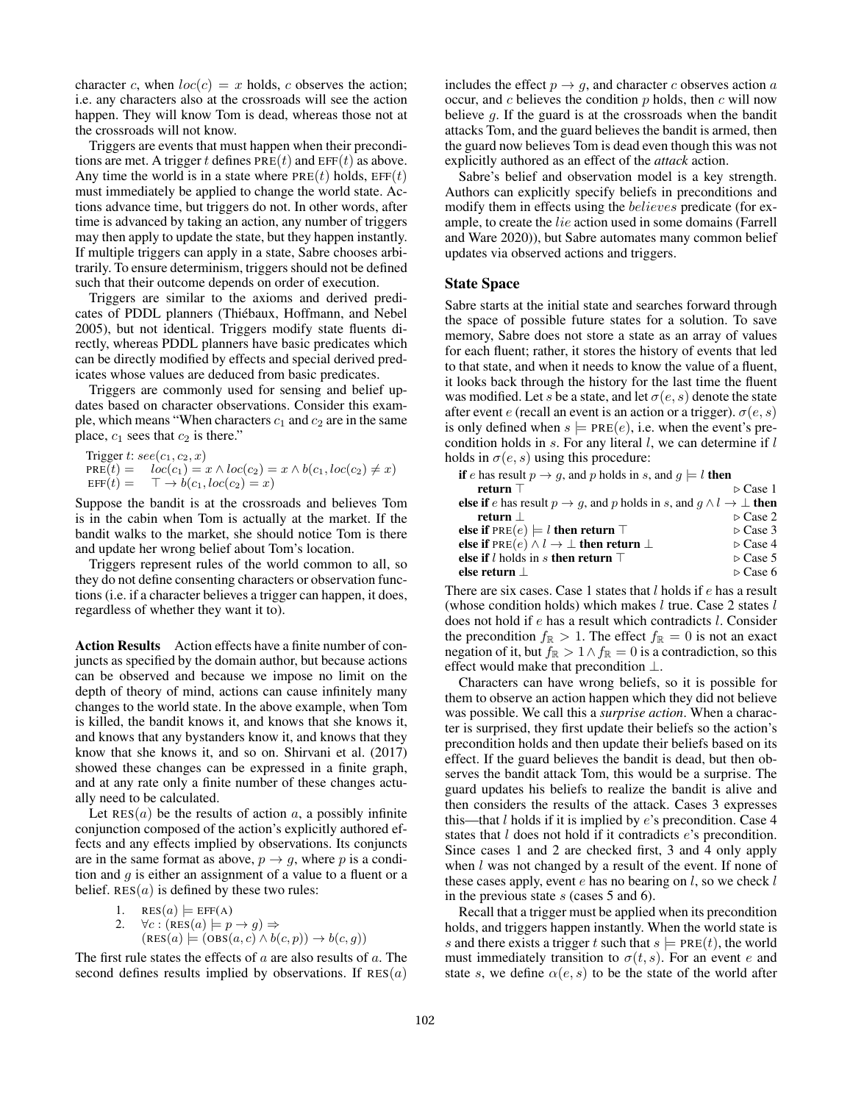character c, when  $loc(c) = x$  holds, c observes the action; i.e. any characters also at the crossroads will see the action happen. They will know Tom is dead, whereas those not at the crossroads will not know.

Triggers are events that must happen when their preconditions are met. A trigger t defines  $PRE(t)$  and  $EFF(t)$  as above. Any time the world is in a state where  $PRE(t)$  holds,  $EFF(t)$ must immediately be applied to change the world state. Actions advance time, but triggers do not. In other words, after time is advanced by taking an action, any number of triggers may then apply to update the state, but they happen instantly. If multiple triggers can apply in a state, Sabre chooses arbitrarily. To ensure determinism, triggers should not be defined such that their outcome depends on order of execution.

Triggers are similar to the axioms and derived predicates of PDDL planners (Thiébaux, Hoffmann, and Nebel 2005), but not identical. Triggers modify state fluents directly, whereas PDDL planners have basic predicates which can be directly modified by effects and special derived predicates whose values are deduced from basic predicates.

Triggers are commonly used for sensing and belief updates based on character observations. Consider this example, which means "When characters  $c_1$  and  $c_2$  are in the same place,  $c_1$  sees that  $c_2$  is there."

$$
\begin{array}{ll}\n\text{Trigger } t: see(c_1, c_2, x) \\
\text{PRE}(t) = & loc(c_1) = x \land loc(c_2) = x \land b(c_1, loc(c_2) \neq x) \\
\text{EFF}(t) = & \top \rightarrow b(c_1, loc(c_2) = x)\n\end{array}
$$

Suppose the bandit is at the crossroads and believes Tom is in the cabin when Tom is actually at the market. If the bandit walks to the market, she should notice Tom is there and update her wrong belief about Tom's location.

Triggers represent rules of the world common to all, so they do not define consenting characters or observation functions (i.e. if a character believes a trigger can happen, it does, regardless of whether they want it to).

Action Results Action effects have a finite number of conjuncts as specified by the domain author, but because actions can be observed and because we impose no limit on the depth of theory of mind, actions can cause infinitely many changes to the world state. In the above example, when Tom is killed, the bandit knows it, and knows that she knows it, and knows that any bystanders know it, and knows that they know that she knows it, and so on. Shirvani et al. (2017) showed these changes can be expressed in a finite graph, and at any rate only a finite number of these changes actually need to be calculated.

Let  $RES(a)$  be the results of action a, a possibly infinite conjunction composed of the action's explicitly authored effects and any effects implied by observations. Its conjuncts are in the same format as above,  $p \rightarrow q$ , where p is a condition and  $q$  is either an assignment of a value to a fluent or a belief.  $RES(a)$  is defined by these two rules:

1. 
$$
RES(a) \models EFF(A)
$$
  
\n2.  $\forall c : (RES(a) \models p \rightarrow g) \Rightarrow$   
\n $(RES(a) \models (OBS(a, c) \land b(c, p)) \rightarrow b(c, g))$ 

The first rule states the effects of  $a$  are also results of  $a$ . The second defines results implied by observations. If  $RES(a)$ 

includes the effect  $p \rightarrow q$ , and character c observes action a occur, and  $c$  believes the condition  $p$  holds, then  $c$  will now believe g. If the guard is at the crossroads when the bandit attacks Tom, and the guard believes the bandit is armed, then the guard now believes Tom is dead even though this was not explicitly authored as an effect of the *attack* action.

Sabre's belief and observation model is a key strength. Authors can explicitly specify beliefs in preconditions and modify them in effects using the *believes* predicate (for example, to create the lie action used in some domains (Farrell and Ware 2020)), but Sabre automates many common belief updates via observed actions and triggers.

### State Space

Sabre starts at the initial state and searches forward through the space of possible future states for a solution. To save memory, Sabre does not store a state as an array of values for each fluent; rather, it stores the history of events that led to that state, and when it needs to know the value of a fluent, it looks back through the history for the last time the fluent was modified. Let s be a state, and let  $\sigma(e, s)$  denote the state after event e (recall an event is an action or a trigger).  $\sigma(e, s)$ is only defined when  $s \models \text{PRE}(e)$ , i.e. when the event's precondition holds in  $s$ . For any literal  $l$ , we can determine if  $l$ holds in  $\sigma(e, s)$  using this procedure:

| <b>if</b> e has result $p \rightarrow q$ , and p holds in s, and $q \models l$ <b>then</b>                      |                         |
|-----------------------------------------------------------------------------------------------------------------|-------------------------|
| return $\top$                                                                                                   | $\triangleright$ Case 1 |
| <b>else if</b> e has result $p \rightarrow g$ , and p holds in s, and $q \land l \rightarrow \perp$ <b>then</b> |                         |
| return                                                                                                          | $\triangleright$ Case 2 |
| else if $PRE(e) \models l$ then return $\top$                                                                   | $\triangleright$ Case 3 |
| else if PRE $(e) \wedge l \rightarrow \perp$ then return $\perp$                                                | $\triangleright$ Case 4 |
| else if <i>l</i> holds in <i>s</i> then return $\top$                                                           | $\triangleright$ Case 5 |
| else return $\perp$                                                                                             | $\triangleright$ Case 6 |

There are six cases. Case 1 states that  $l$  holds if  $e$  has a result (whose condition holds) which makes  $l$  true. Case 2 states  $l$ does not hold if e has a result which contradicts l. Consider the precondition  $f_{\mathbb{R}} > 1$ . The effect  $f_{\mathbb{R}} = 0$  is not an exact negation of it, but  $f_{\mathbb{R}} > 1 \wedge f_{\mathbb{R}} = 0$  is a contradiction, so this effect would make that precondition ⊥.

Characters can have wrong beliefs, so it is possible for them to observe an action happen which they did not believe was possible. We call this a *surprise action*. When a character is surprised, they first update their beliefs so the action's precondition holds and then update their beliefs based on its effect. If the guard believes the bandit is dead, but then observes the bandit attack Tom, this would be a surprise. The guard updates his beliefs to realize the bandit is alive and then considers the results of the attack. Cases 3 expresses this—that  $l$  holds if it is implied by  $e$ 's precondition. Case 4 states that *l* does not hold if it contradicts *e*'s precondition. Since cases 1 and 2 are checked first, 3 and 4 only apply when  $l$  was not changed by a result of the event. If none of these cases apply, event  $e$  has no bearing on  $l$ , so we check  $l$ in the previous state s (cases 5 and 6).

Recall that a trigger must be applied when its precondition holds, and triggers happen instantly. When the world state is s and there exists a trigger t such that  $s \models \text{PRE}(t)$ , the world must immediately transition to  $\sigma(t, s)$ . For an event e and state s, we define  $\alpha(e, s)$  to be the state of the world after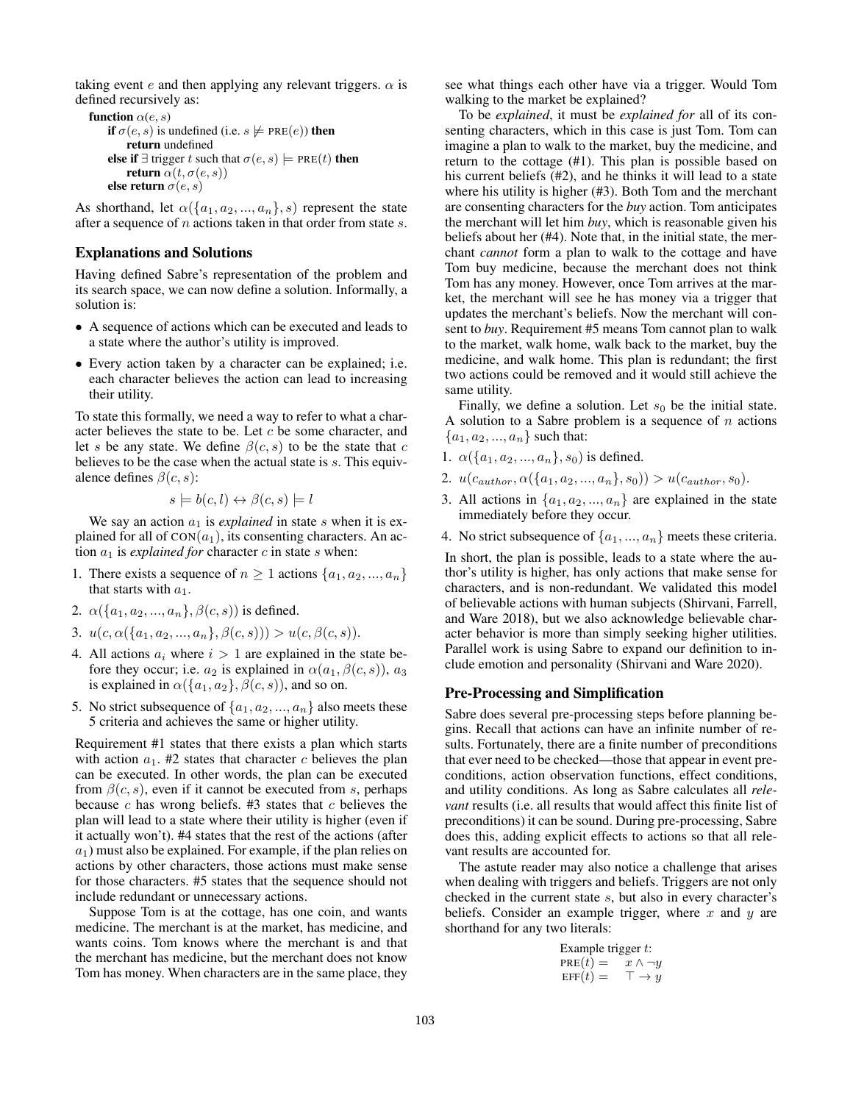taking event e and then applying any relevant triggers.  $\alpha$  is defined recursively as:

```
function \alpha(e, s)if \sigma(e, s) is undefined (i.e. s \not\models \text{PRE}(e)) then
          return undefined
     else if ∃ trigger t such that \sigma(e, s) \models \text{PRE}(t) then
          return \alpha(t, \sigma(e, s))else return \sigma(e, s)
```
As shorthand, let  $\alpha({a_1, a_2, ..., a_n}, s)$  represent the state after a sequence of *n* actions taken in that order from state *s*.

### Explanations and Solutions

Having defined Sabre's representation of the problem and its search space, we can now define a solution. Informally, a solution is:

- A sequence of actions which can be executed and leads to a state where the author's utility is improved.
- Every action taken by a character can be explained; i.e. each character believes the action can lead to increasing their utility.

To state this formally, we need a way to refer to what a character believes the state to be. Let  $c$  be some character, and let s be any state. We define  $\beta(c, s)$  to be the state that c believes to be the case when the actual state is s. This equivalence defines  $\beta(c, s)$ :

$$
s \models b(c, l) \leftrightarrow \beta(c, s) \models l
$$

We say an action  $a_1$  is *explained* in state s when it is explained for all of  $CON(a_1)$ , its consenting characters. An action  $a_1$  is *explained for* character  $c$  in state  $s$  when:

- 1. There exists a sequence of  $n \geq 1$  actions  $\{a_1, a_2, ..., a_n\}$ that starts with  $a_1$ .
- 2.  $\alpha({a_1, a_2, ..., a_n}, \beta(c, s))$  is defined.
- 3.  $u(c, \alpha(\{a_1, a_2, ..., a_n\}, \beta(c, s))) > u(c, \beta(c, s)).$
- 4. All actions  $a_i$  where  $i > 1$  are explained in the state before they occur; i.e.  $a_2$  is explained in  $\alpha(a_1, \beta(c, s))$ ,  $a_3$ is explained in  $\alpha({a_1, a_2}, \beta(c, s))$ , and so on.
- 5. No strict subsequence of  $\{a_1, a_2, ..., a_n\}$  also meets these 5 criteria and achieves the same or higher utility.

Requirement #1 states that there exists a plan which starts with action  $a_1$ . #2 states that character c believes the plan can be executed. In other words, the plan can be executed from  $\beta(c, s)$ , even if it cannot be executed from s, perhaps because  $c$  has wrong beliefs. #3 states that  $c$  believes the plan will lead to a state where their utility is higher (even if it actually won't). #4 states that the rest of the actions (after  $a_1$ ) must also be explained. For example, if the plan relies on actions by other characters, those actions must make sense for those characters. #5 states that the sequence should not include redundant or unnecessary actions.

Suppose Tom is at the cottage, has one coin, and wants medicine. The merchant is at the market, has medicine, and wants coins. Tom knows where the merchant is and that the merchant has medicine, but the merchant does not know Tom has money. When characters are in the same place, they

see what things each other have via a trigger. Would Tom walking to the market be explained?

To be *explained*, it must be *explained for* all of its consenting characters, which in this case is just Tom. Tom can imagine a plan to walk to the market, buy the medicine, and return to the cottage (#1). This plan is possible based on his current beliefs (#2), and he thinks it will lead to a state where his utility is higher (#3). Both Tom and the merchant are consenting characters for the *buy* action. Tom anticipates the merchant will let him *buy*, which is reasonable given his beliefs about her (#4). Note that, in the initial state, the merchant *cannot* form a plan to walk to the cottage and have Tom buy medicine, because the merchant does not think Tom has any money. However, once Tom arrives at the market, the merchant will see he has money via a trigger that updates the merchant's beliefs. Now the merchant will consent to *buy*. Requirement #5 means Tom cannot plan to walk to the market, walk home, walk back to the market, buy the medicine, and walk home. This plan is redundant; the first two actions could be removed and it would still achieve the same utility.

Finally, we define a solution. Let  $s_0$  be the initial state. A solution to a Sabre problem is a sequence of  $n$  actions  ${a_1, a_2, ..., a_n}$  such that:

- 1.  $\alpha({a_1, a_2, ..., a_n}, s_0)$  is defined.
- 2.  $u(c_{author}, \alpha(\{a_1, a_2, ..., a_n\}, s_0)) > u(c_{author}, s_0).$
- 3. All actions in  $\{a_1, a_2, ..., a_n\}$  are explained in the state immediately before they occur.
- 4. No strict subsequence of  $\{a_1, ..., a_n\}$  meets these criteria.

In short, the plan is possible, leads to a state where the author's utility is higher, has only actions that make sense for characters, and is non-redundant. We validated this model of believable actions with human subjects (Shirvani, Farrell, and Ware 2018), but we also acknowledge believable character behavior is more than simply seeking higher utilities. Parallel work is using Sabre to expand our definition to include emotion and personality (Shirvani and Ware 2020).

#### Pre-Processing and Simplification

Sabre does several pre-processing steps before planning begins. Recall that actions can have an infinite number of results. Fortunately, there are a finite number of preconditions that ever need to be checked—those that appear in event preconditions, action observation functions, effect conditions, and utility conditions. As long as Sabre calculates all *relevant* results (i.e. all results that would affect this finite list of preconditions) it can be sound. During pre-processing, Sabre does this, adding explicit effects to actions so that all relevant results are accounted for.

The astute reader may also notice a challenge that arises when dealing with triggers and beliefs. Triggers are not only checked in the current state s, but also in every character's beliefs. Consider an example trigger, where  $x$  and  $y$  are shorthand for any two literals:

| Example trigger $t$ : |                      |
|-----------------------|----------------------|
| $PRE(t) =$            | $x \wedge \neg y$    |
| $EFF(t) =$            | $\top \rightarrow y$ |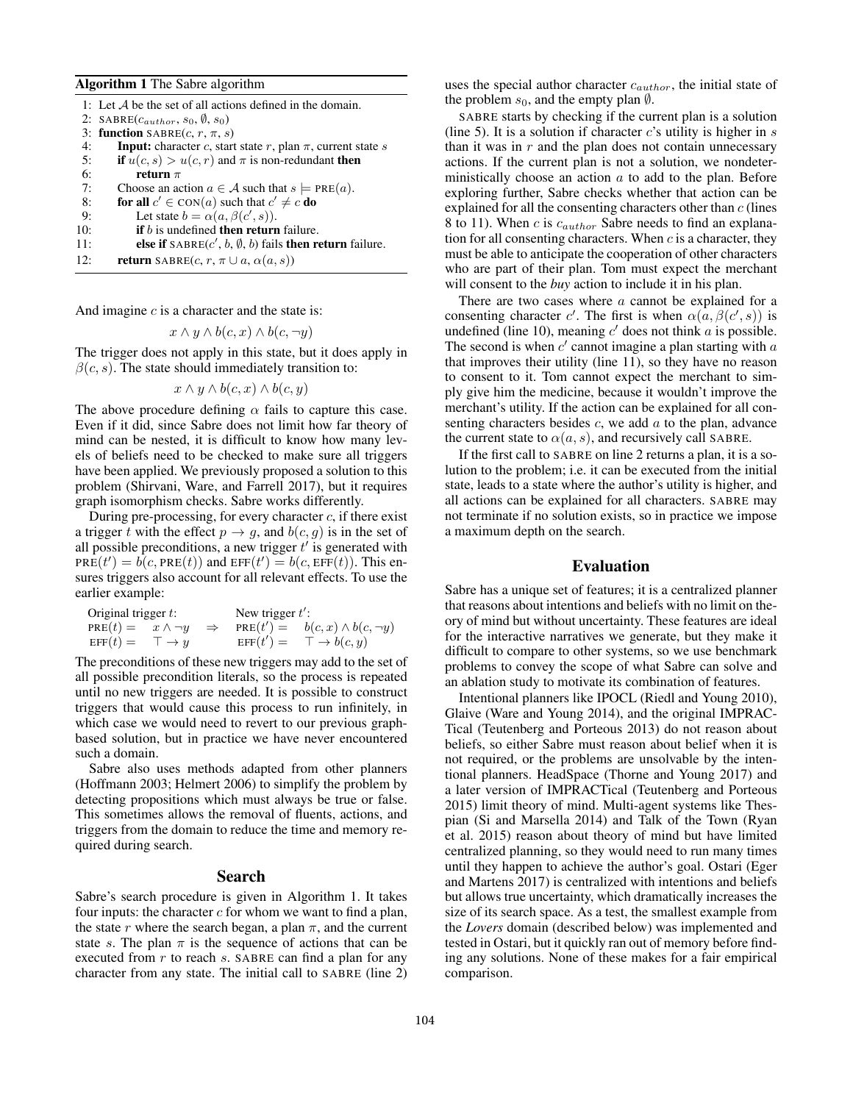#### Algorithm 1 The Sabre algorithm

|     | 1: Let $A$ be the set of all actions defined in the domain.                |
|-----|----------------------------------------------------------------------------|
|     | 2: SABRE( $c_{author}$ , $s_0$ , $\emptyset$ , $s_0$ )                     |
|     | 3: function SABRE $(c, r, \pi, s)$                                         |
| 4:  | <b>Input:</b> character c, start state r, plan $\pi$ , current state s     |
| 5:  | if $u(c, s) > u(c, r)$ and $\pi$ is non-redundant then                     |
| 6:  | return $\pi$                                                               |
| 7:  | Choose an action $a \in \mathcal{A}$ such that $s \models \text{PRE}(a)$ . |
| 8:  | <b>for all</b> $c' \in \text{CON}(a)$ such that $c' \neq c$ <b>do</b>      |
| 9:  | Let state $b = \alpha(a, \beta(c', s))$ .                                  |
| 10: | <b>if</b> $b$ is undefined <b>then return</b> failure.                     |
| 11: | else if $\text{SABRE}(c', b, \emptyset, b)$ fails then return failure.     |
| 12: | <b>return</b> SABRE $(c, r, \pi \cup a, \alpha(a, s))$                     |

And imagine  $c$  is a character and the state is:

$$
x \wedge y \wedge b(c, x) \wedge b(c, \neg y)
$$

The trigger does not apply in this state, but it does apply in  $\beta(c, s)$ . The state should immediately transition to:

$$
x \wedge y \wedge b(c, x) \wedge b(c, y)
$$

The above procedure defining  $\alpha$  fails to capture this case. Even if it did, since Sabre does not limit how far theory of mind can be nested, it is difficult to know how many levels of beliefs need to be checked to make sure all triggers have been applied. We previously proposed a solution to this problem (Shirvani, Ware, and Farrell 2017), but it requires graph isomorphism checks. Sabre works differently.

During pre-processing, for every character  $c$ , if there exist a trigger t with the effect  $p \rightarrow q$ , and  $b(c, q)$  is in the set of all possible preconditions, a new trigger  $t'$  is generated with  $PRE(t') = b(c, PRE(t))$  and  $EFF(t') = b(c,EFF(t))$ . This ensures triggers also account for all relevant effects. To use the earlier example:

| Original trigger $t$ :        |  | New trigger $t'$ : |                                                        |  |  |  |  |
|-------------------------------|--|--------------------|--------------------------------------------------------|--|--|--|--|
| $PRE(t) = x \wedge \neg y$    |  |                    | $\Rightarrow$ PRE $(t') = b(c, x) \wedge b(c, \neg y)$ |  |  |  |  |
| $EFF(t) = \top \rightarrow y$ |  | $\text{EFF}(t') =$ | $\top \rightarrow b(c, y)$                             |  |  |  |  |

The preconditions of these new triggers may add to the set of all possible precondition literals, so the process is repeated until no new triggers are needed. It is possible to construct triggers that would cause this process to run infinitely, in which case we would need to revert to our previous graphbased solution, but in practice we have never encountered such a domain.

Sabre also uses methods adapted from other planners (Hoffmann 2003; Helmert 2006) to simplify the problem by detecting propositions which must always be true or false. This sometimes allows the removal of fluents, actions, and triggers from the domain to reduce the time and memory required during search.

#### Search

Sabre's search procedure is given in Algorithm 1. It takes four inputs: the character  $c$  for whom we want to find a plan, the state r where the search began, a plan  $\pi$ , and the current state s. The plan  $\pi$  is the sequence of actions that can be executed from  $r$  to reach  $s$ . SABRE can find a plan for any character from any state. The initial call to SABRE (line 2)

uses the special author character  $c_{author}$ , the initial state of the problem  $s_0$ , and the empty plan  $\emptyset$ .

SABRE starts by checking if the current plan is a solution (line 5). It is a solution if character  $c$ 's utility is higher in  $s$ than it was in  $r$  and the plan does not contain unnecessary actions. If the current plan is not a solution, we nondeterministically choose an action  $a$  to add to the plan. Before exploring further, Sabre checks whether that action can be explained for all the consenting characters other than  $c$  (lines 8 to 11). When c is  $c_{author}$  Sabre needs to find an explanation for all consenting characters. When  $c$  is a character, they must be able to anticipate the cooperation of other characters who are part of their plan. Tom must expect the merchant will consent to the *buy* action to include it in his plan.

There are two cases where  $a$  cannot be explained for a consenting character c'. The first is when  $\alpha(a, \beta(c', s))$  is undefined (line 10), meaning  $c'$  does not think  $a$  is possible. The second is when  $c'$  cannot imagine a plan starting with  $a$ that improves their utility (line 11), so they have no reason to consent to it. Tom cannot expect the merchant to simply give him the medicine, because it wouldn't improve the merchant's utility. If the action can be explained for all consenting characters besides  $c$ , we add  $a$  to the plan, advance the current state to  $\alpha(a, s)$ , and recursively call SABRE.

If the first call to SABRE on line 2 returns a plan, it is a solution to the problem; i.e. it can be executed from the initial state, leads to a state where the author's utility is higher, and all actions can be explained for all characters. SABRE may not terminate if no solution exists, so in practice we impose a maximum depth on the search.

# Evaluation

Sabre has a unique set of features; it is a centralized planner that reasons about intentions and beliefs with no limit on theory of mind but without uncertainty. These features are ideal for the interactive narratives we generate, but they make it difficult to compare to other systems, so we use benchmark problems to convey the scope of what Sabre can solve and an ablation study to motivate its combination of features.

Intentional planners like IPOCL (Riedl and Young 2010), Glaive (Ware and Young 2014), and the original IMPRAC-Tical (Teutenberg and Porteous 2013) do not reason about beliefs, so either Sabre must reason about belief when it is not required, or the problems are unsolvable by the intentional planners. HeadSpace (Thorne and Young 2017) and a later version of IMPRACTical (Teutenberg and Porteous 2015) limit theory of mind. Multi-agent systems like Thespian (Si and Marsella 2014) and Talk of the Town (Ryan et al. 2015) reason about theory of mind but have limited centralized planning, so they would need to run many times until they happen to achieve the author's goal. Ostari (Eger and Martens 2017) is centralized with intentions and beliefs but allows true uncertainty, which dramatically increases the size of its search space. As a test, the smallest example from the *Lovers* domain (described below) was implemented and tested in Ostari, but it quickly ran out of memory before finding any solutions. None of these makes for a fair empirical comparison.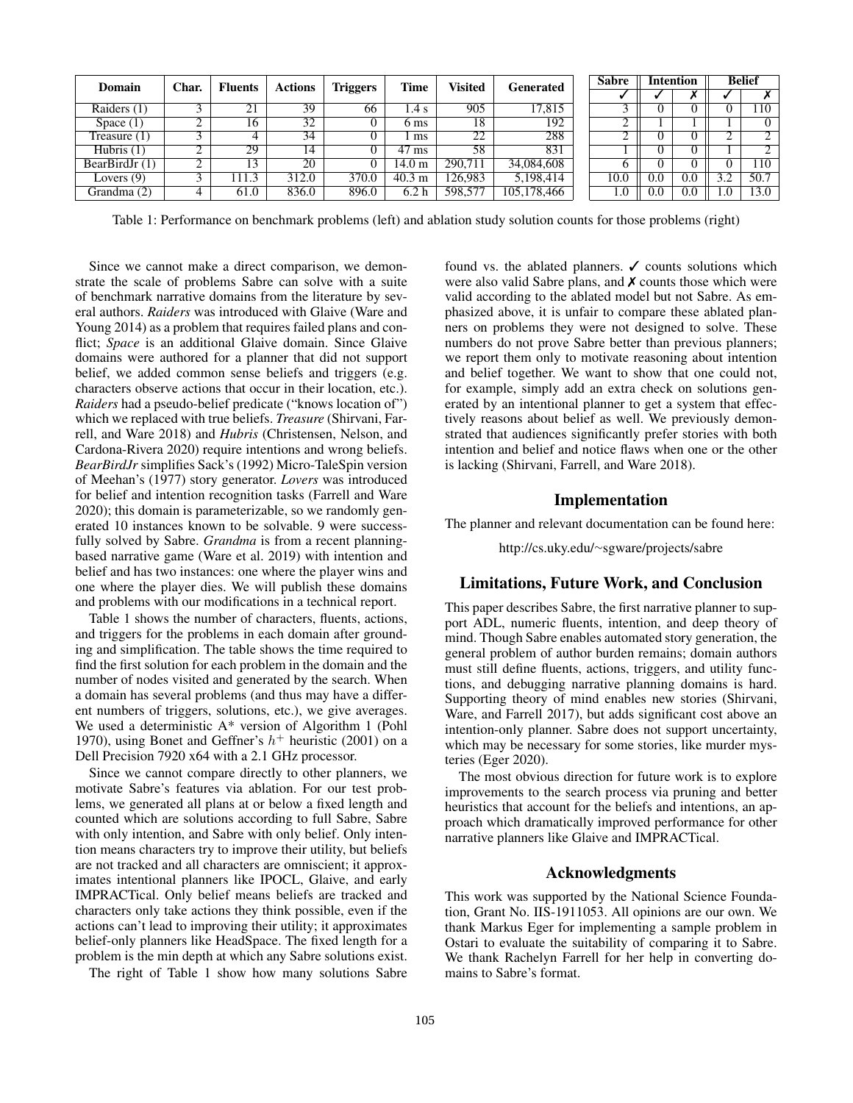| Domain           | Char. | <b>Fluents</b> | <b>Actions</b>  | <b>Triggers</b> | <b>Time</b>      | Visited | Generated   |  |      |          | Sabre | <b>Intention</b> |                   | <b>Belief</b> |  |
|------------------|-------|----------------|-----------------|-----------------|------------------|---------|-------------|--|------|----------|-------|------------------|-------------------|---------------|--|
|                  |       |                |                 |                 |                  |         |             |  |      |          |       |                  |                   |               |  |
| Raiders $(1)$    |       | ∩ 1<br>41      | 39              | 66              | 1.4 s            | 905     | 17,815      |  |      |          |       |                  | .10               |               |  |
| Space $(1)$      |       | 16             | 32              |                 | 6 ms             | 18      | 192         |  |      |          |       |                  |                   |               |  |
| Treasure $(1)$   |       |                | 34              |                 | ms               | 22      | 288         |  |      |          |       |                  |                   |               |  |
| Hubris $(1)$     |       | 29             | $\overline{14}$ |                 | $47 \text{ ms}$  | 58      | 831         |  |      |          |       |                  |                   |               |  |
| BearBirdJr $(1)$ |       | 13             | 20              |                 | 14.0 m           | 290.711 | 34,084,608  |  |      |          |       |                  | .10               |               |  |
| Lovers $(9)$     |       | 11.3           | 312.0           | 370.0           | $40.3 \text{ m}$ | 26.983  | 5,198,414   |  | 10.0 | 0.0      | 0.0   |                  | 50.7              |               |  |
| Grandma (2)      |       | 61.0           | 836.0           | 896.0           | 6.2 <sub>h</sub> | 598,577 | 105,178,466 |  | 1.0  | $_{0.0}$ | 0.0   | 1.U              | $\overline{13.0}$ |               |  |

Table 1: Performance on benchmark problems (left) and ablation study solution counts for those problems (right)

Since we cannot make a direct comparison, we demonstrate the scale of problems Sabre can solve with a suite of benchmark narrative domains from the literature by several authors. *Raiders* was introduced with Glaive (Ware and Young 2014) as a problem that requires failed plans and conflict; *Space* is an additional Glaive domain. Since Glaive domains were authored for a planner that did not support belief, we added common sense beliefs and triggers (e.g. characters observe actions that occur in their location, etc.). *Raiders* had a pseudo-belief predicate ("knows location of") which we replaced with true beliefs. *Treasure* (Shirvani, Farrell, and Ware 2018) and *Hubris* (Christensen, Nelson, and Cardona-Rivera 2020) require intentions and wrong beliefs. *BearBirdJr* simplifies Sack's (1992) Micro-TaleSpin version of Meehan's (1977) story generator. *Lovers* was introduced for belief and intention recognition tasks (Farrell and Ware 2020); this domain is parameterizable, so we randomly generated 10 instances known to be solvable. 9 were successfully solved by Sabre. *Grandma* is from a recent planningbased narrative game (Ware et al. 2019) with intention and belief and has two instances: one where the player wins and one where the player dies. We will publish these domains and problems with our modifications in a technical report.

Table 1 shows the number of characters, fluents, actions, and triggers for the problems in each domain after grounding and simplification. The table shows the time required to find the first solution for each problem in the domain and the number of nodes visited and generated by the search. When a domain has several problems (and thus may have a different numbers of triggers, solutions, etc.), we give averages. We used a deterministic A\* version of Algorithm 1 (Pohl 1970), using Bonet and Geffner's  $h^+$  heuristic (2001) on a Dell Precision 7920 x64 with a 2.1 GHz processor.

Since we cannot compare directly to other planners, we motivate Sabre's features via ablation. For our test problems, we generated all plans at or below a fixed length and counted which are solutions according to full Sabre, Sabre with only intention, and Sabre with only belief. Only intention means characters try to improve their utility, but beliefs are not tracked and all characters are omniscient; it approximates intentional planners like IPOCL, Glaive, and early IMPRACTical. Only belief means beliefs are tracked and characters only take actions they think possible, even if the actions can't lead to improving their utility; it approximates belief-only planners like HeadSpace. The fixed length for a problem is the min depth at which any Sabre solutions exist.

The right of Table 1 show how many solutions Sabre

found vs. the ablated planners.  $\checkmark$  counts solutions which were also valid Sabre plans, and  $\chi$  counts those which were valid according to the ablated model but not Sabre. As emphasized above, it is unfair to compare these ablated planners on problems they were not designed to solve. These numbers do not prove Sabre better than previous planners; we report them only to motivate reasoning about intention and belief together. We want to show that one could not, for example, simply add an extra check on solutions generated by an intentional planner to get a system that effectively reasons about belief as well. We previously demonstrated that audiences significantly prefer stories with both intention and belief and notice flaws when one or the other is lacking (Shirvani, Farrell, and Ware 2018).

### Implementation

The planner and relevant documentation can be found here:

http://cs.uky.edu/<sup>∼</sup>sgware/projects/sabre

### Limitations, Future Work, and Conclusion

This paper describes Sabre, the first narrative planner to support ADL, numeric fluents, intention, and deep theory of mind. Though Sabre enables automated story generation, the general problem of author burden remains; domain authors must still define fluents, actions, triggers, and utility functions, and debugging narrative planning domains is hard. Supporting theory of mind enables new stories (Shirvani, Ware, and Farrell 2017), but adds significant cost above an intention-only planner. Sabre does not support uncertainty, which may be necessary for some stories, like murder mysteries (Eger 2020).

The most obvious direction for future work is to explore improvements to the search process via pruning and better heuristics that account for the beliefs and intentions, an approach which dramatically improved performance for other narrative planners like Glaive and IMPRACTical.

## Acknowledgments

This work was supported by the National Science Foundation, Grant No. IIS-1911053. All opinions are our own. We thank Markus Eger for implementing a sample problem in Ostari to evaluate the suitability of comparing it to Sabre. We thank Rachelyn Farrell for her help in converting domains to Sabre's format.